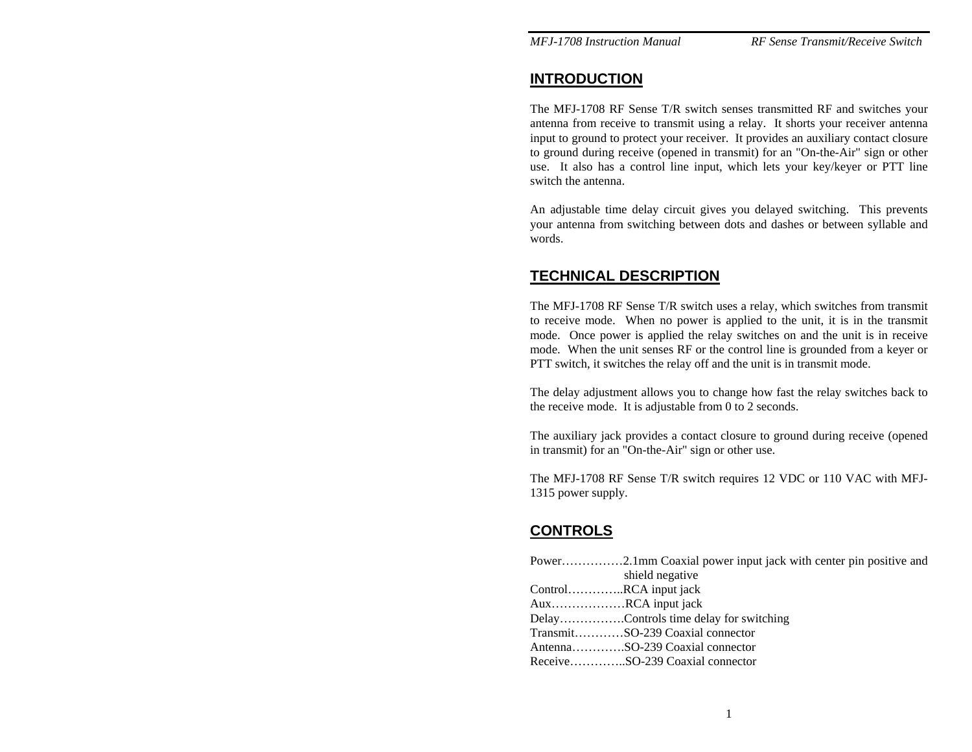## **INTRODUCTION**

The MFJ-1708 RF Sense T/R switch senses transmitted RF and switches your antenna from receive to transmit using a relay. It shorts your receiver antenna input to ground to protect your receiver. It provides an auxiliary contact closure to ground during receive (opened in transmit) for an "On-the-Air" sign or other use. It also has a control line input, which lets your key/keyer or PTT line switch the antenna.

An adjustable time delay circuit gives you delayed switching. This prevents your antenna from switching between dots and dashes or between syllable and words.

# **TECHNICAL DESCRIPTION**

The MFJ-1708 RF Sense T/R switch uses a relay, which switches from transmit to receive mode. When no power is applied to the unit, it is in the transmit mode. Once power is applied the relay switches on and the unit is in receive mode. When the unit senses RF or the control line is grounded from a keyer or PTT switch, it switches the relay off and the unit is in transmit mode.

The delay adjustment allows you to change how fast the relay switches back to the receive mode. It is adjustable from 0 to 2 seconds.

The auxiliary jack provides a contact closure to ground during receive (opened in transmit) for an "On-the-Air" sign or other use.

The MFJ-1708 RF Sense T/R switch requires 12 VDC or 110 VAC with MFJ-1315 power supply.

# **CONTROLS**

|                       | shield negative                        |
|-----------------------|----------------------------------------|
| ControlRCA input jack |                                        |
| AuxRCA input jack     |                                        |
|                       | DelayControls time delay for switching |
|                       | TransmitSO-239 Coaxial connector       |
|                       | AntennaSO-239 Coaxial connector        |
|                       | ReceiveSO-239 Coaxial connector        |
|                       |                                        |